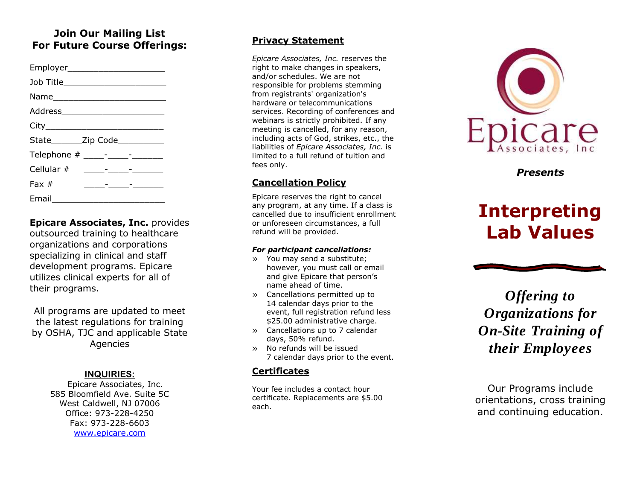## **Join Our Mailing List For Future Course Offerings:**

| Employer_________________________  |                                               |  |
|------------------------------------|-----------------------------------------------|--|
| Job Title_________________________ |                                               |  |
|                                    |                                               |  |
|                                    |                                               |  |
|                                    |                                               |  |
| State________Zip Code___________   |                                               |  |
|                                    |                                               |  |
|                                    |                                               |  |
| Fax $#$                            | <u> 1989 - Andre Stadt Frankrik (d. 1989)</u> |  |
| Email<br>$\sim$                    |                                               |  |

**Epicare Associates, Inc.** provides outsourced training to healthcare organizations and corporations specializing in clinical and staff development programs. Epicare utilizes clinical experts for all of their programs.

All programs are updated to meet the latest regulations for training by OSHA, TJC and applicable State Agencies

#### **INQUIRIES :**

Epicare Associates, Inc. 585 Bloomfield Ave. Suite 5C West Caldwell, NJ 07006 Office: 973 -228 -4250 Fax: 973 -228 -6603 [www.epicare.com](http://www.epicare.com/)

#### **Privacy Statement**

*Epicare Associates, Inc.* reserves the right to make changes in speakers, and/or schedules. We are not responsible for problems stemming from registrants' organization's hardware or telecommunications services. Recording of conferences and webinars is strictly prohibited. If any meeting is cancelled, for any reason, including acts of God, strikes, etc., the liabilities of *Epicare Associates, Inc.* is limited to a full refund of tuition and fees only.

### **Cancellation Policy**

Epicare reserves the right to cancel any program, at any time. If a class is cancelled due to insufficient enrollment or unforeseen circumstances, a full refund will be provided.

#### *For participant cancellations:*

- » You may send a substitute; however, you must call or email and give Epicare that person's name ahead of time.
- » Cancellations permitted up to 14 calendar days prior to the event, full registration refund less<br>\$25.00 administrative charge.
- » Cancellations up to 7 calendar days, 50% refund.
- » No refunds will be issued 7 calendar days prior to the event.

### **Certificates**

Your fee includes a contact hour certificate. Replacements are \$5.00 each.



*Presents*

# **Interpreting Lab Values**

*Offering to Organizations for On -Site Training of their Employees*

Our Programs include orientation s, cross training and continuing education.